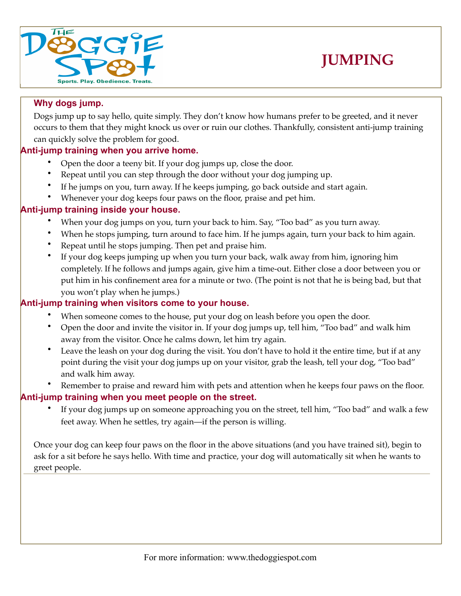



## **Why dogs jump.**

Dogs jump up to say hello, quite simply. They don't know how humans prefer to be greeted, and it never occurs to them that they might knock us over or ruin our clothes. Thankfully, consistent anti-jump training can quickly solve the problem for good.

# **Anti-jump training when you arrive home.**

- Open the door a teeny bit. If your dog jumps up, close the door.
- Repeat until you can step through the door without your dog jumping up.
- If he jumps on you, turn away. If he keeps jumping, go back outside and start again.
- Whenever your dog keeps four paws on the floor, praise and pet him.

#### **Anti-jump training inside your house.**

- When your dog jumps on you, turn your back to him. Say, "Too bad" as you turn away.
- When he stops jumping, turn around to face him. If he jumps again, turn your back to him again.
- Repeat until he stops jumping. Then pet and praise him.
- If your dog keeps jumping up when you turn your back, walk away from him, ignoring him completely. If he follows and jumps again, give him a time-out. Either close a door between you or put him in his confinement area for a minute or two. (The point is not that he is being bad, but that you won't play when he jumps.)

### **Anti-jump training when visitors come to your house.**

- When someone comes to the house, put your dog on leash before you open the door.
- Open the door and invite the visitor in. If your dog jumps up, tell him, "Too bad" and walk him away from the visitor. Once he calms down, let him try again.
- Leave the leash on your dog during the visit. You don't have to hold it the entire time, but if at any point during the visit your dog jumps up on your visitor, grab the leash, tell your dog, "Too bad" and walk him away.
- Remember to praise and reward him with pets and attention when he keeps four paws on the floor.

#### **Anti-jump training when you meet people on the street.**

If your dog jumps up on someone approaching you on the street, tell him, "Too bad" and walk a few feet away. When he settles, try again—if the person is willing.

Once your dog can keep four paws on the floor in the above situations (and you have trained sit), begin to ask for a sit before he says hello. With time and practice, your dog will automatically sit when he wants to greet people.